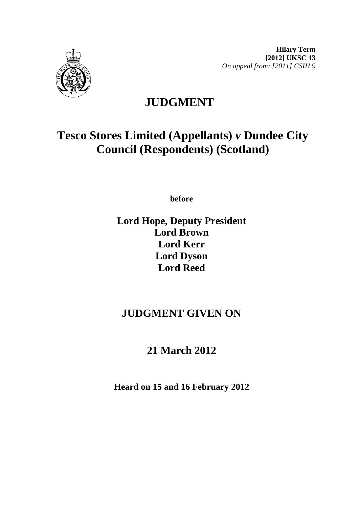

# **JUDGMENT**

# **Tesco Stores Limited (Appellants)** *v* **Dundee City Council (Respondents) (Scotland)**

**before** 

### **Lord Hope, Deputy President Lord Brown Lord Kerr Lord Dyson Lord Reed**

### **JUDGMENT GIVEN ON**

## **21 March 2012**

**Heard on 15 and 16 February 2012**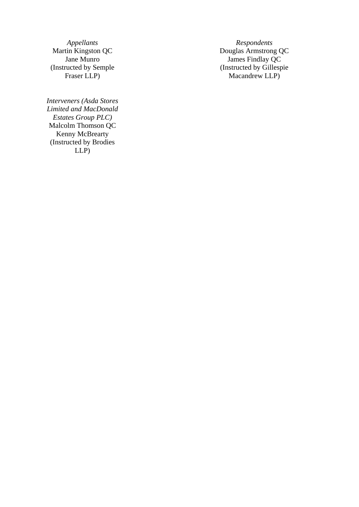*Appellants Respondents*<br>Martin Kingston QC *Douglas Armstrong* (Instructed by Semple Fraser LLP)

*Interveners (Asda Stores Limited and MacDonald Estates Group PLC)*  Malcolm Thomson QC Kenny McBrearty (Instructed by Brodies  $LLP$ )

The Kingston QC<br>
Martin Kingston QC<br>
Martin Kingston QC<br>
Martin Kingston QC<br>
Martin Kingston QC<br>
Martin Communication of the Munro James Findlay QC (Instructed by Gillespie Macandrew LLP)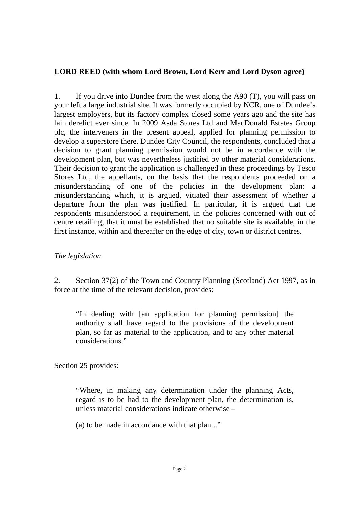#### **LORD REED (with whom Lord Brown, Lord Kerr and Lord Dyson agree)**

1. If you drive into Dundee from the west along the A90 (T), you will pass on your left a large industrial site. It was formerly occupied by NCR, one of Dundee's largest employers, but its factory complex closed some years ago and the site has lain derelict ever since. In 2009 Asda Stores Ltd and MacDonald Estates Group plc, the interveners in the present appeal, applied for planning permission to develop a superstore there. Dundee City Council, the respondents, concluded that a decision to grant planning permission would not be in accordance with the development plan, but was nevertheless justified by other material considerations. Their decision to grant the application is challenged in these proceedings by Tesco Stores Ltd, the appellants, on the basis that the respondents proceeded on a misunderstanding of one of the policies in the development plan: a misunderstanding which, it is argued, vitiated their assessment of whether a departure from the plan was justified. In particular, it is argued that the respondents misunderstood a requirement, in the policies concerned with out of centre retailing, that it must be established that no suitable site is available, in the first instance, within and thereafter on the edge of city, town or district centres.

#### *The legislation*

2. Section 37(2) of the Town and Country Planning (Scotland) Act 1997, as in force at the time of the relevant decision, provides:

"In dealing with [an application for planning permission] the authority shall have regard to the provisions of the development plan, so far as material to the application, and to any other material considerations."

Section 25 provides:

"Where, in making any determination under the planning Acts, regard is to be had to the development plan, the determination is, unless material considerations indicate otherwise –

(a) to be made in accordance with that plan..."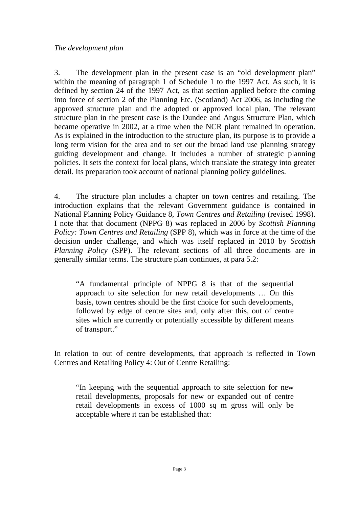3. The development plan in the present case is an "old development plan" within the meaning of paragraph 1 of Schedule 1 to the 1997 Act. As such, it is defined by section 24 of the 1997 Act, as that section applied before the coming into force of section 2 of the Planning Etc. (Scotland) Act 2006, as including the approved structure plan and the adopted or approved local plan. The relevant structure plan in the present case is the Dundee and Angus Structure Plan, which became operative in 2002, at a time when the NCR plant remained in operation. As is explained in the introduction to the structure plan, its purpose is to provide a long term vision for the area and to set out the broad land use planning strategy guiding development and change. It includes a number of strategic planning policies. It sets the context for local plans, which translate the strategy into greater detail. Its preparation took account of national planning policy guidelines.

4. The structure plan includes a chapter on town centres and retailing. The introduction explains that the relevant Government guidance is contained in National Planning Policy Guidance 8, *Town Centres and Retailing* (revised 1998). I note that that document (NPPG 8) was replaced in 2006 by *Scottish Planning Policy: Town Centres and Retailing (SPP 8), which was in force at the time of the* decision under challenge, and which was itself replaced in 2010 by *Scottish Planning Policy* (SPP). The relevant sections of all three documents are in generally similar terms. The structure plan continues, at para 5.2:

"A fundamental principle of NPPG 8 is that of the sequential approach to site selection for new retail developments … On this basis, town centres should be the first choice for such developments, followed by edge of centre sites and, only after this, out of centre sites which are currently or potentially accessible by different means of transport."

In relation to out of centre developments, that approach is reflected in Town Centres and Retailing Policy 4: Out of Centre Retailing:

"In keeping with the sequential approach to site selection for new retail developments, proposals for new or expanded out of centre retail developments in excess of 1000 sq m gross will only be acceptable where it can be established that: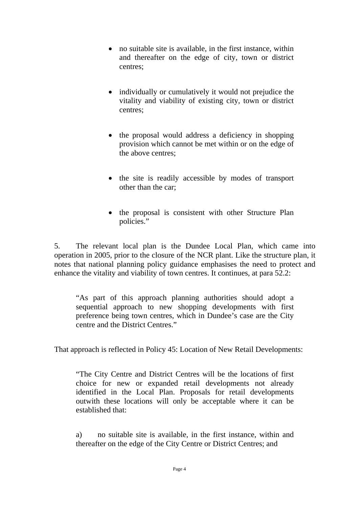- no suitable site is available, in the first instance, within and thereafter on the edge of city, town or district centres;
- individually or cumulatively it would not prejudice the vitality and viability of existing city, town or district centres;
- the proposal would address a deficiency in shopping provision which cannot be met within or on the edge of the above centres;
- the site is readily accessible by modes of transport other than the car;
- the proposal is consistent with other Structure Plan policies."

5. The relevant local plan is the Dundee Local Plan, which came into operation in 2005, prior to the closure of the NCR plant. Like the structure plan, it notes that national planning policy guidance emphasises the need to protect and enhance the vitality and viability of town centres. It continues, at para 52.2:

"As part of this approach planning authorities should adopt a sequential approach to new shopping developments with first preference being town centres, which in Dundee's case are the City centre and the District Centres."

That approach is reflected in Policy 45: Location of New Retail Developments:

"The City Centre and District Centres will be the locations of first choice for new or expanded retail developments not already identified in the Local Plan. Proposals for retail developments outwith these locations will only be acceptable where it can be established that:

a) no suitable site is available, in the first instance, within and thereafter on the edge of the City Centre or District Centres; and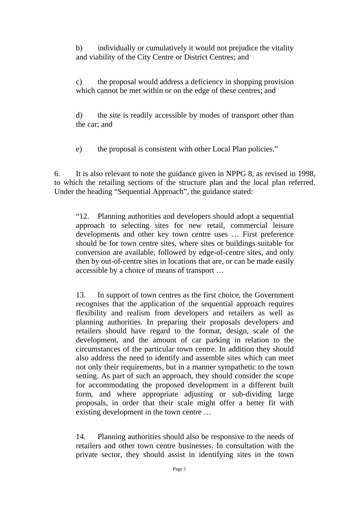b) individually or cumulatively it would not prejudice the vitality and viability of the City Centre or District Centres; and

c) the proposal would address a deficiency in shopping provision which cannot be met within or on the edge of these centres; and

d) the site is readily accessible by modes of transport other than the car; and

e) the proposal is consistent with other Local Plan policies."

6. It is also relevant to note the guidance given in NPPG 8, as revised in 1998, to which the retailing sections of the structure plan and the local plan referred. Under the heading "Sequential Approach", the guidance stated:

"12. Planning authorities and developers should adopt a sequential approach to selecting sites for new retail, commercial leisure developments and other key town centre uses … First preference should be for town centre sites, where sites or buildings suitable for conversion are available, followed by edge-of-centre sites, and only then by out-of-centre sites in locations that are, or can be made easily accessible by a choice of means of transport …

13. In support of town centres as the first choice, the Government recognises that the application of the sequential approach requires flexibility and realism from developers and retailers as well as planning authorities. In preparing their proposals developers and retailers should have regard to the format, design, scale of the development, and the amount of car parking in relation to the circumstances of the particular town centre. In addition they should also address the need to identify and assemble sites which can meet not only their requirements, but in a manner sympathetic to the town setting. As part of such an approach, they should consider the scope for accommodating the proposed development in a different built form, and where appropriate adjusting or sub-dividing large proposals, in order that their scale might offer a better fit with existing development in the town centre …

14. Planning authorities should also be responsive to the needs of retailers and other town centre businesses. In consultation with the private sector, they should assist in identifying sites in the town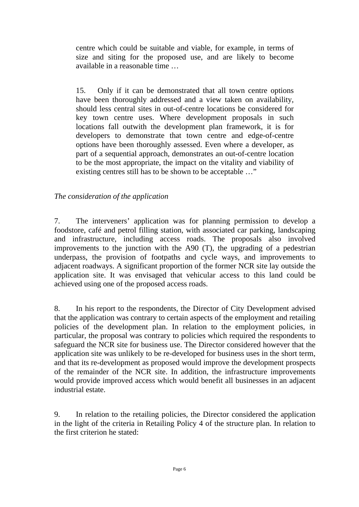centre which could be suitable and viable, for example, in terms of size and siting for the proposed use, and are likely to become available in a reasonable time …

15. Only if it can be demonstrated that all town centre options have been thoroughly addressed and a view taken on availability, should less central sites in out-of-centre locations be considered for key town centre uses. Where development proposals in such locations fall outwith the development plan framework, it is for developers to demonstrate that town centre and edge-of-centre options have been thoroughly assessed. Even where a developer, as part of a sequential approach, demonstrates an out-of-centre location to be the most appropriate, the impact on the vitality and viability of existing centres still has to be shown to be acceptable …"

#### *The consideration of the application*

7. The interveners' application was for planning permission to develop a foodstore, café and petrol filling station, with associated car parking, landscaping and infrastructure, including access roads. The proposals also involved improvements to the junction with the A90 (T), the upgrading of a pedestrian underpass, the provision of footpaths and cycle ways, and improvements to adjacent roadways. A significant proportion of the former NCR site lay outside the application site. It was envisaged that vehicular access to this land could be achieved using one of the proposed access roads.

8. In his report to the respondents, the Director of City Development advised that the application was contrary to certain aspects of the employment and retailing policies of the development plan. In relation to the employment policies, in particular, the proposal was contrary to policies which required the respondents to safeguard the NCR site for business use. The Director considered however that the application site was unlikely to be re-developed for business uses in the short term, and that its re-development as proposed would improve the development prospects of the remainder of the NCR site. In addition, the infrastructure improvements would provide improved access which would benefit all businesses in an adjacent industrial estate.

9. In relation to the retailing policies, the Director considered the application in the light of the criteria in Retailing Policy 4 of the structure plan. In relation to the first criterion he stated: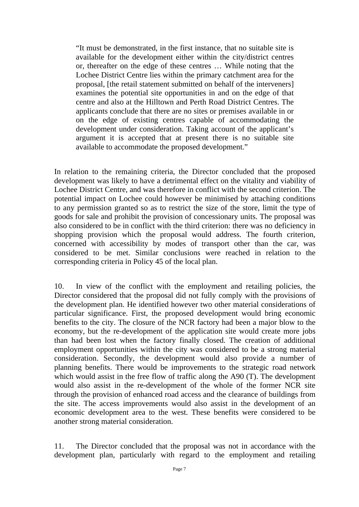"It must be demonstrated, in the first instance, that no suitable site is available for the development either within the city/district centres or, thereafter on the edge of these centres … While noting that the Lochee District Centre lies within the primary catchment area for the proposal, [the retail statement submitted on behalf of the interveners] examines the potential site opportunities in and on the edge of that centre and also at the Hilltown and Perth Road District Centres. The applicants conclude that there are no sites or premises available in or on the edge of existing centres capable of accommodating the development under consideration. Taking account of the applicant's argument it is accepted that at present there is no suitable site available to accommodate the proposed development."

In relation to the remaining criteria, the Director concluded that the proposed development was likely to have a detrimental effect on the vitality and viability of Lochee District Centre, and was therefore in conflict with the second criterion. The potential impact on Lochee could however be minimised by attaching conditions to any permission granted so as to restrict the size of the store, limit the type of goods for sale and prohibit the provision of concessionary units. The proposal was also considered to be in conflict with the third criterion: there was no deficiency in shopping provision which the proposal would address. The fourth criterion, concerned with accessibility by modes of transport other than the car, was considered to be met. Similar conclusions were reached in relation to the corresponding criteria in Policy 45 of the local plan.

10. In view of the conflict with the employment and retailing policies, the Director considered that the proposal did not fully comply with the provisions of the development plan. He identified however two other material considerations of particular significance. First, the proposed development would bring economic benefits to the city. The closure of the NCR factory had been a major blow to the economy, but the re-development of the application site would create more jobs than had been lost when the factory finally closed. The creation of additional employment opportunities within the city was considered to be a strong material consideration. Secondly, the development would also provide a number of planning benefits. There would be improvements to the strategic road network which would assist in the free flow of traffic along the A90 (T). The development would also assist in the re-development of the whole of the former NCR site through the provision of enhanced road access and the clearance of buildings from the site. The access improvements would also assist in the development of an economic development area to the west. These benefits were considered to be another strong material consideration.

11. The Director concluded that the proposal was not in accordance with the development plan, particularly with regard to the employment and retailing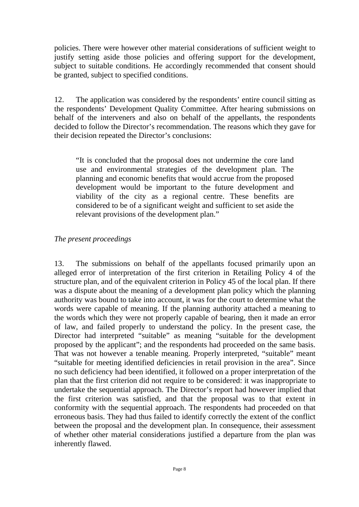policies. There were however other material considerations of sufficient weight to justify setting aside those policies and offering support for the development, subject to suitable conditions. He accordingly recommended that consent should be granted, subject to specified conditions.

12. The application was considered by the respondents' entire council sitting as the respondents' Development Quality Committee. After hearing submissions on behalf of the interveners and also on behalf of the appellants, the respondents decided to follow the Director's recommendation. The reasons which they gave for their decision repeated the Director's conclusions:

"It is concluded that the proposal does not undermine the core land use and environmental strategies of the development plan. The planning and economic benefits that would accrue from the proposed development would be important to the future development and viability of the city as a regional centre. These benefits are considered to be of a significant weight and sufficient to set aside the relevant provisions of the development plan."

#### *The present proceedings*

13. The submissions on behalf of the appellants focused primarily upon an alleged error of interpretation of the first criterion in Retailing Policy 4 of the structure plan, and of the equivalent criterion in Policy 45 of the local plan. If there was a dispute about the meaning of a development plan policy which the planning authority was bound to take into account, it was for the court to determine what the words were capable of meaning. If the planning authority attached a meaning to the words which they were not properly capable of bearing, then it made an error of law, and failed properly to understand the policy. In the present case, the Director had interpreted "suitable" as meaning "suitable for the development proposed by the applicant"; and the respondents had proceeded on the same basis. That was not however a tenable meaning. Properly interpreted, "suitable" meant "suitable for meeting identified deficiencies in retail provision in the area". Since no such deficiency had been identified, it followed on a proper interpretation of the plan that the first criterion did not require to be considered: it was inappropriate to undertake the sequential approach. The Director's report had however implied that the first criterion was satisfied, and that the proposal was to that extent in conformity with the sequential approach. The respondents had proceeded on that erroneous basis. They had thus failed to identify correctly the extent of the conflict between the proposal and the development plan. In consequence, their assessment of whether other material considerations justified a departure from the plan was inherently flawed.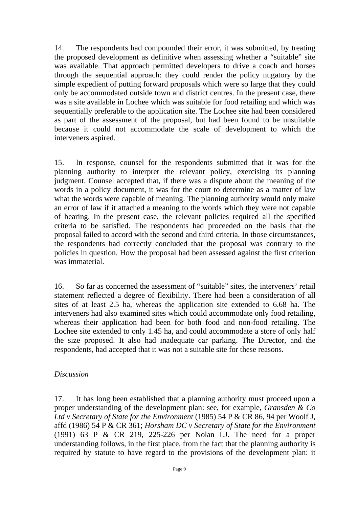14. The respondents had compounded their error, it was submitted, by treating the proposed development as definitive when assessing whether a "suitable" site was available. That approach permitted developers to drive a coach and horses through the sequential approach: they could render the policy nugatory by the simple expedient of putting forward proposals which were so large that they could only be accommodated outside town and district centres. In the present case, there was a site available in Lochee which was suitable for food retailing and which was sequentially preferable to the application site. The Lochee site had been considered as part of the assessment of the proposal, but had been found to be unsuitable because it could not accommodate the scale of development to which the interveners aspired.

15. In response, counsel for the respondents submitted that it was for the planning authority to interpret the relevant policy, exercising its planning judgment. Counsel accepted that, if there was a dispute about the meaning of the words in a policy document, it was for the court to determine as a matter of law what the words were capable of meaning. The planning authority would only make an error of law if it attached a meaning to the words which they were not capable of bearing. In the present case, the relevant policies required all the specified criteria to be satisfied. The respondents had proceeded on the basis that the proposal failed to accord with the second and third criteria. In those circumstances, the respondents had correctly concluded that the proposal was contrary to the policies in question. How the proposal had been assessed against the first criterion was immaterial.

16. So far as concerned the assessment of "suitable" sites, the interveners' retail statement reflected a degree of flexibility. There had been a consideration of all sites of at least 2.5 ha, whereas the application site extended to 6.68 ha. The interveners had also examined sites which could accommodate only food retailing, whereas their application had been for both food and non-food retailing. The Lochee site extended to only 1.45 ha, and could accommodate a store of only half the size proposed. It also had inadequate car parking. The Director, and the respondents, had accepted that it was not a suitable site for these reasons.

#### *Discussion*

17. It has long been established that a planning authority must proceed upon a proper understanding of the development plan: see, for example, *Gransden & Co Ltd v Secretary of State for the Environment* (1985) 54 P & CR 86, 94 per Woolf J, affd (1986) 54 P & CR 361; *Horsham DC v Secretary of State for the Environment*  (1991) 63 P & CR 219, 225-226 per Nolan LJ. The need for a proper understanding follows, in the first place, from the fact that the planning authority is required by statute to have regard to the provisions of the development plan: it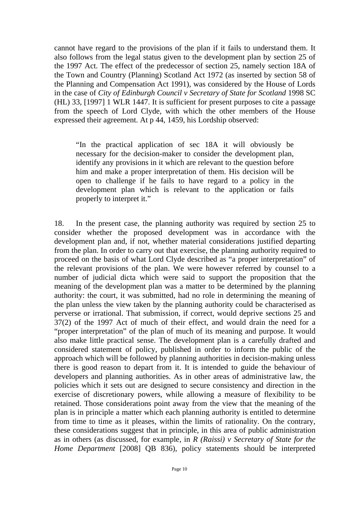cannot have regard to the provisions of the plan if it fails to understand them. It also follows from the legal status given to the development plan by section 25 of the 1997 Act. The effect of the predecessor of section 25, namely section 18A of the Town and Country (Planning) Scotland Act 1972 (as inserted by section 58 of the Planning and Compensation Act 1991), was considered by the House of Lords in the case of *City of Edinburgh Council v Secretary of State for Scotland* 1998 SC (HL) 33, [1997] 1 WLR 1447. It is sufficient for present purposes to cite a passage from the speech of Lord Clyde, with which the other members of the House expressed their agreement. At p 44, 1459, his Lordship observed:

"In the practical application of sec 18A it will obviously be necessary for the decision-maker to consider the development plan, identify any provisions in it which are relevant to the question before him and make a proper interpretation of them. His decision will be open to challenge if he fails to have regard to a policy in the development plan which is relevant to the application or fails properly to interpret it."

18. In the present case, the planning authority was required by section 25 to consider whether the proposed development was in accordance with the development plan and, if not, whether material considerations justified departing from the plan. In order to carry out that exercise, the planning authority required to proceed on the basis of what Lord Clyde described as "a proper interpretation" of the relevant provisions of the plan. We were however referred by counsel to a number of judicial dicta which were said to support the proposition that the meaning of the development plan was a matter to be determined by the planning authority: the court, it was submitted, had no role in determining the meaning of the plan unless the view taken by the planning authority could be characterised as perverse or irrational. That submission, if correct, would deprive sections 25 and 37(2) of the 1997 Act of much of their effect, and would drain the need for a "proper interpretation" of the plan of much of its meaning and purpose. It would also make little practical sense. The development plan is a carefully drafted and considered statement of policy, published in order to inform the public of the approach which will be followed by planning authorities in decision-making unless there is good reason to depart from it. It is intended to guide the behaviour of developers and planning authorities. As in other areas of administrative law, the policies which it sets out are designed to secure consistency and direction in the exercise of discretionary powers, while allowing a measure of flexibility to be retained. Those considerations point away from the view that the meaning of the plan is in principle a matter which each planning authority is entitled to determine from time to time as it pleases, within the limits of rationality. On the contrary, these considerations suggest that in principle, in this area of public administration as in others (as discussed, for example, in *R (Raissi) v Secretary of State for the Home Department* [2008] QB 836), policy statements should be interpreted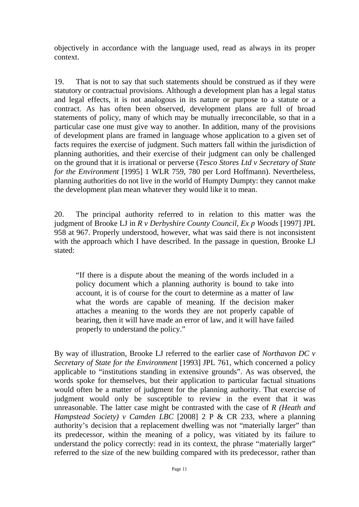objectively in accordance with the language used, read as always in its proper context.

19. That is not to say that such statements should be construed as if they were statutory or contractual provisions. Although a development plan has a legal status and legal effects, it is not analogous in its nature or purpose to a statute or a contract. As has often been observed, development plans are full of broad statements of policy, many of which may be mutually irreconcilable, so that in a particular case one must give way to another. In addition, many of the provisions of development plans are framed in language whose application to a given set of facts requires the exercise of judgment. Such matters fall within the jurisdiction of planning authorities, and their exercise of their judgment can only be challenged on the ground that it is irrational or perverse (*Tesco Stores Ltd v Secretary of State for the Environment* [1995] 1 WLR 759, 780 per Lord Hoffmann). Nevertheless, planning authorities do not live in the world of Humpty Dumpty: they cannot make the development plan mean whatever they would like it to mean.

20. The principal authority referred to in relation to this matter was the judgment of Brooke LJ in *R v Derbyshire County Council, Ex p Woods* [1997] JPL 958 at 967. Properly understood, however, what was said there is not inconsistent with the approach which I have described. In the passage in question, Brooke LJ stated:

"If there is a dispute about the meaning of the words included in a policy document which a planning authority is bound to take into account, it is of course for the court to determine as a matter of law what the words are capable of meaning. If the decision maker attaches a meaning to the words they are not properly capable of bearing, then it will have made an error of law, and it will have failed properly to understand the policy."

By way of illustration, Brooke LJ referred to the earlier case of *Northavon DC v Secretary of State for the Environment* [1993] JPL 761, which concerned a policy applicable to "institutions standing in extensive grounds". As was observed, the words spoke for themselves, but their application to particular factual situations would often be a matter of judgment for the planning authority. That exercise of judgment would only be susceptible to review in the event that it was unreasonable. The latter case might be contrasted with the case of *R (Heath and Hampstead Society) v Camden LBC* [2008] 2 P & CR 233, where a planning authority's decision that a replacement dwelling was not "materially larger" than its predecessor, within the meaning of a policy, was vitiated by its failure to understand the policy correctly: read in its context, the phrase "materially larger" referred to the size of the new building compared with its predecessor, rather than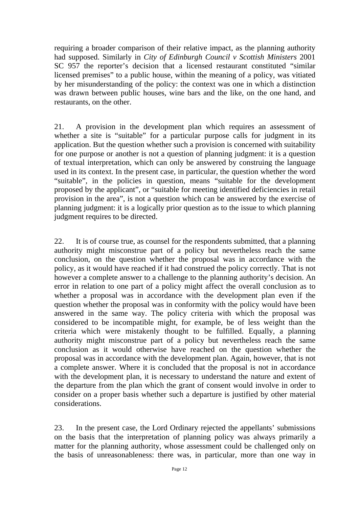requiring a broader comparison of their relative impact, as the planning authority had supposed. Similarly in *City of Edinburgh Council v Scottish Ministers* 2001 SC 957 the reporter's decision that a licensed restaurant constituted "similar licensed premises" to a public house, within the meaning of a policy, was vitiated by her misunderstanding of the policy: the context was one in which a distinction was drawn between public houses, wine bars and the like, on the one hand, and restaurants, on the other.

21. A provision in the development plan which requires an assessment of whether a site is "suitable" for a particular purpose calls for judgment in its application. But the question whether such a provision is concerned with suitability for one purpose or another is not a question of planning judgment: it is a question of textual interpretation, which can only be answered by construing the language used in its context. In the present case, in particular, the question whether the word "suitable", in the policies in question, means "suitable for the development proposed by the applicant", or "suitable for meeting identified deficiencies in retail provision in the area", is not a question which can be answered by the exercise of planning judgment: it is a logically prior question as to the issue to which planning judgment requires to be directed.

22. It is of course true, as counsel for the respondents submitted, that a planning authority might misconstrue part of a policy but nevertheless reach the same conclusion, on the question whether the proposal was in accordance with the policy, as it would have reached if it had construed the policy correctly. That is not however a complete answer to a challenge to the planning authority's decision. An error in relation to one part of a policy might affect the overall conclusion as to whether a proposal was in accordance with the development plan even if the question whether the proposal was in conformity with the policy would have been answered in the same way. The policy criteria with which the proposal was considered to be incompatible might, for example, be of less weight than the criteria which were mistakenly thought to be fulfilled. Equally, a planning authority might misconstrue part of a policy but nevertheless reach the same conclusion as it would otherwise have reached on the question whether the proposal was in accordance with the development plan. Again, however, that is not a complete answer. Where it is concluded that the proposal is not in accordance with the development plan, it is necessary to understand the nature and extent of the departure from the plan which the grant of consent would involve in order to consider on a proper basis whether such a departure is justified by other material considerations.

23. In the present case, the Lord Ordinary rejected the appellants' submissions on the basis that the interpretation of planning policy was always primarily a matter for the planning authority, whose assessment could be challenged only on the basis of unreasonableness: there was, in particular, more than one way in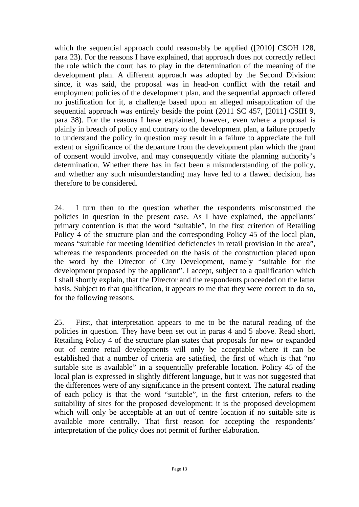which the sequential approach could reasonably be applied ([2010] CSOH 128, para 23). For the reasons I have explained, that approach does not correctly reflect the role which the court has to play in the determination of the meaning of the development plan. A different approach was adopted by the Second Division: since, it was said, the proposal was in head-on conflict with the retail and employment policies of the development plan, and the sequential approach offered no justification for it, a challenge based upon an alleged misapplication of the sequential approach was entirely beside the point (2011 SC 457, [2011] CSIH 9, para 38). For the reasons I have explained, however, even where a proposal is plainly in breach of policy and contrary to the development plan, a failure properly to understand the policy in question may result in a failure to appreciate the full extent or significance of the departure from the development plan which the grant of consent would involve, and may consequently vitiate the planning authority's determination. Whether there has in fact been a misunderstanding of the policy, and whether any such misunderstanding may have led to a flawed decision, has therefore to be considered.

24. I turn then to the question whether the respondents misconstrued the policies in question in the present case. As I have explained, the appellants' primary contention is that the word "suitable", in the first criterion of Retailing Policy 4 of the structure plan and the corresponding Policy 45 of the local plan, means "suitable for meeting identified deficiencies in retail provision in the area", whereas the respondents proceeded on the basis of the construction placed upon the word by the Director of City Development, namely "suitable for the development proposed by the applicant". I accept, subject to a qualification which I shall shortly explain, that the Director and the respondents proceeded on the latter basis. Subject to that qualification, it appears to me that they were correct to do so, for the following reasons.

25. First, that interpretation appears to me to be the natural reading of the policies in question. They have been set out in paras 4 and 5 above. Read short, Retailing Policy 4 of the structure plan states that proposals for new or expanded out of centre retail developments will only be acceptable where it can be established that a number of criteria are satisfied, the first of which is that "no suitable site is available" in a sequentially preferable location. Policy 45 of the local plan is expressed in slightly different language, but it was not suggested that the differences were of any significance in the present context. The natural reading of each policy is that the word "suitable", in the first criterion, refers to the suitability of sites for the proposed development: it is the proposed development which will only be acceptable at an out of centre location if no suitable site is available more centrally. That first reason for accepting the respondents' interpretation of the policy does not permit of further elaboration.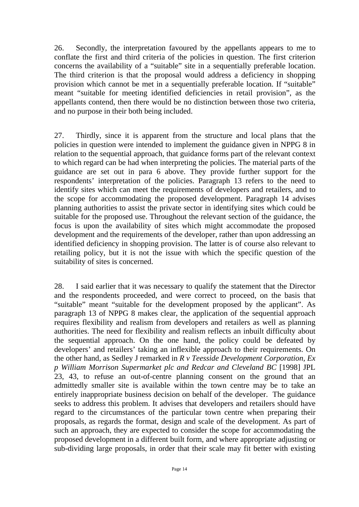26. Secondly, the interpretation favoured by the appellants appears to me to conflate the first and third criteria of the policies in question. The first criterion concerns the availability of a "suitable" site in a sequentially preferable location. The third criterion is that the proposal would address a deficiency in shopping provision which cannot be met in a sequentially preferable location. If "suitable" meant "suitable for meeting identified deficiencies in retail provision", as the appellants contend, then there would be no distinction between those two criteria, and no purpose in their both being included.

27. Thirdly, since it is apparent from the structure and local plans that the policies in question were intended to implement the guidance given in NPPG 8 in relation to the sequential approach, that guidance forms part of the relevant context to which regard can be had when interpreting the policies. The material parts of the guidance are set out in para 6 above. They provide further support for the respondents' interpretation of the policies. Paragraph 13 refers to the need to identify sites which can meet the requirements of developers and retailers, and to the scope for accommodating the proposed development. Paragraph 14 advises planning authorities to assist the private sector in identifying sites which could be suitable for the proposed use. Throughout the relevant section of the guidance, the focus is upon the availability of sites which might accommodate the proposed development and the requirements of the developer, rather than upon addressing an identified deficiency in shopping provision. The latter is of course also relevant to retailing policy, but it is not the issue with which the specific question of the suitability of sites is concerned.

28. I said earlier that it was necessary to qualify the statement that the Director and the respondents proceeded, and were correct to proceed, on the basis that "suitable" meant "suitable for the development proposed by the applicant". As paragraph 13 of NPPG 8 makes clear, the application of the sequential approach requires flexibility and realism from developers and retailers as well as planning authorities. The need for flexibility and realism reflects an inbuilt difficulty about the sequential approach. On the one hand, the policy could be defeated by developers' and retailers' taking an inflexible approach to their requirements. On the other hand, as Sedley J remarked in *R v Teesside Development Corporation, Ex p William Morrison Supermarket plc and Redcar and Cleveland BC* [1998] JPL 23, 43, to refuse an out-of-centre planning consent on the ground that an admittedly smaller site is available within the town centre may be to take an entirely inappropriate business decision on behalf of the developer. The guidance seeks to address this problem. It advises that developers and retailers should have regard to the circumstances of the particular town centre when preparing their proposals, as regards the format, design and scale of the development. As part of such an approach, they are expected to consider the scope for accommodating the proposed development in a different built form, and where appropriate adjusting or sub-dividing large proposals, in order that their scale may fit better with existing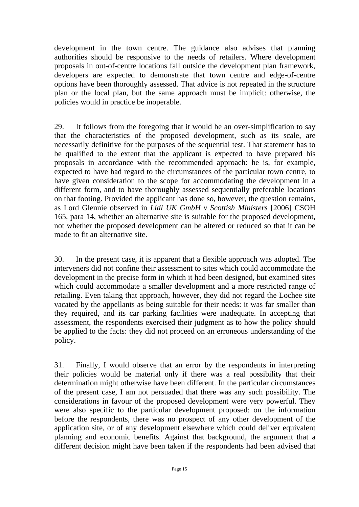development in the town centre. The guidance also advises that planning authorities should be responsive to the needs of retailers. Where development proposals in out-of-centre locations fall outside the development plan framework, developers are expected to demonstrate that town centre and edge-of-centre options have been thoroughly assessed. That advice is not repeated in the structure plan or the local plan, but the same approach must be implicit: otherwise, the policies would in practice be inoperable.

29. It follows from the foregoing that it would be an over-simplification to say that the characteristics of the proposed development, such as its scale, are necessarily definitive for the purposes of the sequential test. That statement has to be qualified to the extent that the applicant is expected to have prepared his proposals in accordance with the recommended approach: he is, for example, expected to have had regard to the circumstances of the particular town centre, to have given consideration to the scope for accommodating the development in a different form, and to have thoroughly assessed sequentially preferable locations on that footing. Provided the applicant has done so, however, the question remains, as Lord Glennie observed in *Lidl UK GmbH v Scottish Ministers* [2006] CSOH 165, para 14, whether an alternative site is suitable for the proposed development, not whether the proposed development can be altered or reduced so that it can be made to fit an alternative site.

30. In the present case, it is apparent that a flexible approach was adopted. The interveners did not confine their assessment to sites which could accommodate the development in the precise form in which it had been designed, but examined sites which could accommodate a smaller development and a more restricted range of retailing. Even taking that approach, however, they did not regard the Lochee site vacated by the appellants as being suitable for their needs: it was far smaller than they required, and its car parking facilities were inadequate. In accepting that assessment, the respondents exercised their judgment as to how the policy should be applied to the facts: they did not proceed on an erroneous understanding of the policy.

31. Finally, I would observe that an error by the respondents in interpreting their policies would be material only if there was a real possibility that their determination might otherwise have been different. In the particular circumstances of the present case, I am not persuaded that there was any such possibility. The considerations in favour of the proposed development were very powerful. They were also specific to the particular development proposed: on the information before the respondents, there was no prospect of any other development of the application site, or of any development elsewhere which could deliver equivalent planning and economic benefits. Against that background, the argument that a different decision might have been taken if the respondents had been advised that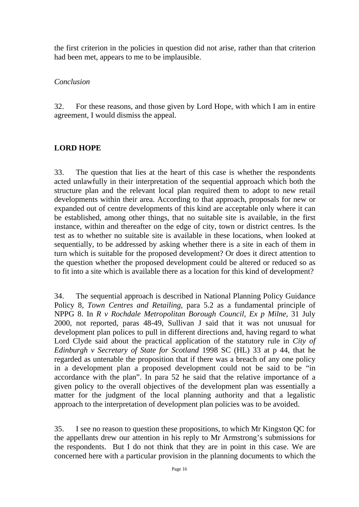the first criterion in the policies in question did not arise, rather than that criterion had been met, appears to me to be implausible.

#### *Conclusion*

32. For these reasons, and those given by Lord Hope, with which I am in entire agreement, I would dismiss the appeal.

### **LORD HOPE**

33. The question that lies at the heart of this case is whether the respondents acted unlawfully in their interpretation of the sequential approach which both the structure plan and the relevant local plan required them to adopt to new retail developments within their area. According to that approach, proposals for new or expanded out of centre developments of this kind are acceptable only where it can be established, among other things, that no suitable site is available, in the first instance, within and thereafter on the edge of city, town or district centres. Is the test as to whether no suitable site is available in these locations, when looked at sequentially, to be addressed by asking whether there is a site in each of them in turn which is suitable for the proposed development? Or does it direct attention to the question whether the proposed development could be altered or reduced so as to fit into a site which is available there as a location for this kind of development?

34. The sequential approach is described in National Planning Policy Guidance Policy 8, *Town Centres and Retailing*, para 5.2 as a fundamental principle of NPPG 8. In *R v Rochdale Metropolitan Borough Council, Ex p Milne*, 31 July 2000, not reported, paras 48-49, Sullivan J said that it was not unusual for development plan polices to pull in different directions and, having regard to what Lord Clyde said about the practical application of the statutory rule in *City of Edinburgh v Secretary of State for Scotland* 1998 SC (HL) 33 at p 44, that he regarded as untenable the proposition that if there was a breach of any one policy in a development plan a proposed development could not be said to be "in accordance with the plan". In para 52 he said that the relative importance of a given policy to the overall objectives of the development plan was essentially a matter for the judgment of the local planning authority and that a legalistic approach to the interpretation of development plan policies was to be avoided.

35. I see no reason to question these propositions, to which Mr Kingston QC for the appellants drew our attention in his reply to Mr Armstrong's submissions for the respondents. But I do not think that they are in point in this case. We are concerned here with a particular provision in the planning documents to which the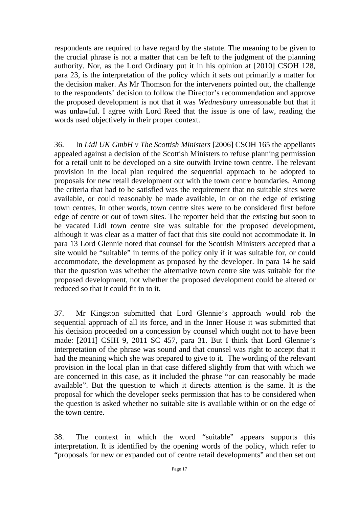respondents are required to have regard by the statute. The meaning to be given to the crucial phrase is not a matter that can be left to the judgment of the planning authority. Nor, as the Lord Ordinary put it in his opinion at [2010] CSOH 128, para 23, is the interpretation of the policy which it sets out primarily a matter for the decision maker. As Mr Thomson for the interveners pointed out, the challenge to the respondents' decision to follow the Director's recommendation and approve the proposed development is not that it was *Wednesbury* unreasonable but that it was unlawful. I agree with Lord Reed that the issue is one of law, reading the words used objectively in their proper context.

36. In *Lidl UK GmbH v The Scottish Ministers* [2006] CSOH 165 the appellants appealed against a decision of the Scottish Ministers to refuse planning permission for a retail unit to be developed on a site outwith Irvine town centre. The relevant provision in the local plan required the sequential approach to be adopted to proposals for new retail development out with the town centre boundaries. Among the criteria that had to be satisfied was the requirement that no suitable sites were available, or could reasonably be made available, in or on the edge of existing town centres. In other words, town centre sites were to be considered first before edge of centre or out of town sites. The reporter held that the existing but soon to be vacated Lidl town centre site was suitable for the proposed development, although it was clear as a matter of fact that this site could not accommodate it. In para 13 Lord Glennie noted that counsel for the Scottish Ministers accepted that a site would be "suitable" in terms of the policy only if it was suitable for, or could accommodate, the development as proposed by the developer. In para 14 he said that the question was whether the alternative town centre site was suitable for the proposed development, not whether the proposed development could be altered or reduced so that it could fit in to it.

37. Mr Kingston submitted that Lord Glennie's approach would rob the sequential approach of all its force, and in the Inner House it was submitted that his decision proceeded on a concession by counsel which ought not to have been made: [2011] CSIH 9, 2011 SC 457, para 31. But I think that Lord Glennie's interpretation of the phrase was sound and that counsel was right to accept that it had the meaning which she was prepared to give to it. The wording of the relevant provision in the local plan in that case differed slightly from that with which we are concerned in this case, as it included the phrase "or can reasonably be made available". But the question to which it directs attention is the same. It is the proposal for which the developer seeks permission that has to be considered when the question is asked whether no suitable site is available within or on the edge of the town centre.

38. The context in which the word "suitable" appears supports this interpretation. It is identified by the opening words of the policy, which refer to "proposals for new or expanded out of centre retail developments" and then set out